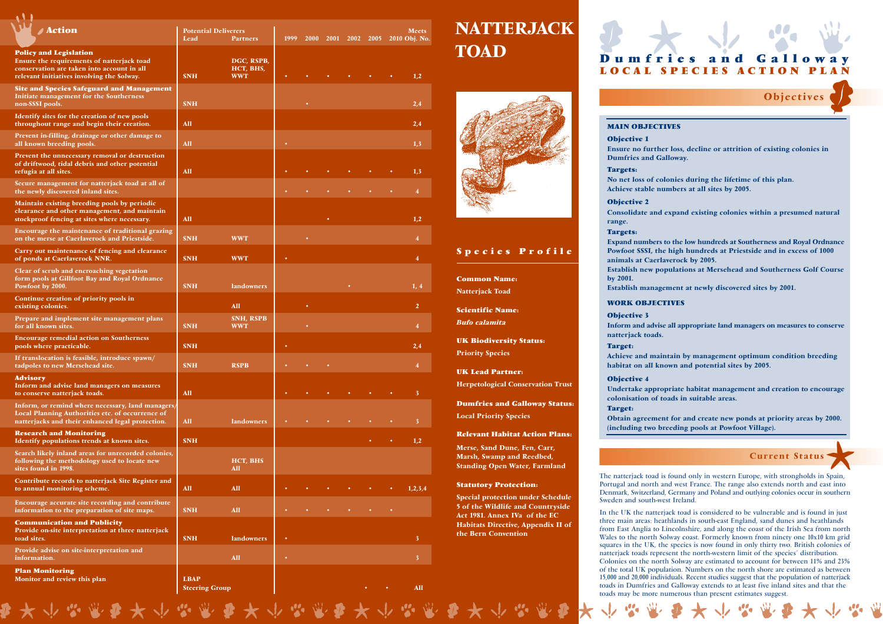## **Species Profile**

## **Statutory Protection:**

Special protection under Schedule 5 of the Wildlife and Countryside Act 1981. Annex IVa of the EC Habitats Directive, Appendix II of the Bern Convention

**Scientific Name:** *Bufo calamita*

**UK Biodiversity Status:** Priority Species

**Dumfries and Galloway Status:** Local Priority Species

## **Relevant Habitat Action Plans:**

Merse, Sand Dune, Fen, Carr, Marsh, Swamp and Reedbed, Standing Open Water, Farmland

**Common Name:** Natterjack Toad

| <b>Action</b>                                                                                                                                                           | <b>Potential Deliverers</b><br>Lead<br><b>Partners</b> |                                       | 1999 | <b>2000</b> | 2001 2002 2005 |           | Meets<br>2010 Obj. No |                     |  |
|-------------------------------------------------------------------------------------------------------------------------------------------------------------------------|--------------------------------------------------------|---------------------------------------|------|-------------|----------------|-----------|-----------------------|---------------------|--|
| <b>Policy and Legislation</b><br>Ensure the requirements of natterjack toad<br>conservation are taken into account in all<br>relevant initiatives involving the Solway. | <b>SNH</b>                                             | DGC, RSPB,<br>HCT, BHS,<br><b>WWT</b> |      |             |                |           |                       | 1,2                 |  |
| <b>Site and Species Safeguard and Management</b><br>Initiate management for the Southerness<br>non-SSSI pools.                                                          | <b>SNH</b>                                             |                                       |      |             |                |           |                       | 2,4                 |  |
| Identify sites for the creation of new pools<br>throughout range and begin their creation.                                                                              | All                                                    |                                       |      |             |                |           |                       | 2,4                 |  |
| Prevent in-filling, drainage or other damage to<br>all known breeding pools.                                                                                            | All                                                    |                                       |      |             |                |           |                       | 1,3                 |  |
| Prevent the unnecessary removal or destruction<br>of driftwood, tidal debris and other potential<br>refugia at all sites.                                               | All                                                    |                                       |      |             |                |           |                       | 1,3                 |  |
| Secure management for natterjack toad at all of<br>the newly discovered inland sites.                                                                                   |                                                        |                                       |      |             |                |           |                       | 4                   |  |
| Maintain existing breeding pools by periodic<br>clearance and other management, and maintain<br>stockproof fencing at sites where necessary.                            | All                                                    |                                       |      |             |                |           |                       | 1,2                 |  |
| Encourage the maintenance of traditional grazing<br>on the merse at Caerlaverock and Priestside.                                                                        | <b>SNH</b>                                             | <b>WWT</b>                            |      |             |                |           |                       | $\overline{\bf{4}}$ |  |
| Carry out maintenance of fencing and clearance<br>of ponds at Caerlaverock NNR.                                                                                         | <b>SNH</b>                                             | <b>WWT</b>                            |      |             |                |           |                       | 4                   |  |
| Clear of scrub and encroaching vegetation<br>form pools at Gillfoot Bay and Royal Ordnance<br>Powfoot by 2000.                                                          | <b>SNH</b>                                             | <b>landowners</b>                     |      |             |                |           |                       | 1, 4                |  |
| Continue creation of priority pools in<br>existing colonies.                                                                                                            |                                                        | All                                   |      | ٠           |                |           |                       | $\overline{2}$      |  |
| Prepare and implement site management plans<br>for all known sites.                                                                                                     | <b>SNH</b>                                             | <b>SNH, RSPB</b><br><b>WWT</b>        |      |             |                |           |                       | 4                   |  |
| <b>Encourage remedial action on Southerness</b><br>pools where practicable.                                                                                             | <b>SNH</b>                                             |                                       |      |             |                |           |                       | 2.4                 |  |
| If translocation is feasible, introduce spawn/<br>tadpoles to new Mersehead site.                                                                                       | <b>SNH</b>                                             | <b>RSPB</b>                           |      |             |                |           |                       | 4                   |  |
| <b>Advisory</b><br>Inform and advise land managers on measures<br>to conserve natterjack toads.                                                                         | All                                                    |                                       |      |             |                |           |                       | $\mathbf{3}$        |  |
| Inform, or remind where necessary, land managers/<br>Local Planning Authorities etc. of occurrence of<br>natterjacks and their enhanced legal protection.               | All                                                    | <b>landowners</b>                     |      |             |                |           |                       | 3                   |  |
| <b>Research and Monitoring</b><br>Identify populations trends at known sites.                                                                                           | <b>SNH</b>                                             |                                       |      |             |                |           |                       | 1,2                 |  |
| Search likely inland areas for unrecorded colonies,<br>following the methodology used to locate new<br>sites found in 1998.                                             |                                                        | HCT, BHS<br>All                       |      |             |                |           |                       |                     |  |
| Contribute records to natterjack Site Register and<br>to annual monitoring scheme.                                                                                      | All                                                    | All                                   |      |             |                |           |                       | 1,2,3,4             |  |
| Encourage accurate site recording and contribute<br>information to the preparation of site maps.                                                                        | <b>SNH</b>                                             | All                                   |      |             | $\bullet$      | $\bullet$ |                       |                     |  |
| <b>Communication and Publicity</b><br>Provide on-site interpretation at three natterjack<br>toad sites.                                                                 | <b>SNH</b>                                             | <b>landowners</b>                     |      |             |                |           |                       | 3                   |  |
| Provide advise on site-interpretation and<br>information.                                                                                                               |                                                        | All                                   |      |             |                |           |                       | $\mathbf{3}$        |  |
| <b>Plan Monitoring</b><br>Monitor and review this plan                                                                                                                  | <b>LBAP</b><br><b>Steering Group</b>                   |                                       |      |             |                |           |                       | <b>All</b>          |  |

## **NATTERJACK TOAD**

005 2010 Obj. No.



## **MAIN OBJECTIVES**

Ensure no further loss, decline or attrition of existing colonies in

**Objective 1** Dumfries and Galloway.

**Targets:**

No net loss of colonies during the lifetime of this plan. Achieve stable numbers at all sites by 2005.

**Objective 2**

Consolidate and expand existing colonies within a presumed natural

range.

**Targets:**

Expand numbers to the low hundreds at Southerness and Royal Ordnance Powfoot SSSI, the high hundreds at Priestside and in excess of 1000

animals at Caerlaverock by 2005. by 2001.

Establish new populations at Mersehead and Southerness Golf Course

Establish management at newly discovered sites by 2001.

## **WORK OBJECTIVES**

Inform and advise all appropriate land managers on measures to conserve

**Objective 3** natterjack toads.

**Target:**

Achieve and maintain by management optimum condition breeding habitat on all known and potential sites by 2005.

**Objective 4**

Undertake appropriate habitat management and creation to encourage colonisation of toads in suitable areas.

**Target:**

Obtain agreement for and create new ponds at priority areas by 2000. (including two breeding pools at Powfoot Village).

**UK Lead Partner:**

Herpetological Conservation Trust

The natterjack toad is found only in western Europe, with strongholds in Spain, Portugal and north and west France. The range also extends north and east into Denmark, Switzerland, Germany and Poland and outlying colonies occur in southern

# Sweden and south-west Ireland.

In the UK the natterjack toad is considered to be vulnerable and is found in just three main areas: heathlands in south-east England, sand dunes and heathlands from East Anglia to Lincolnshire, and along the coast of the Irish Sea from north Wales to the north Solway coast. Formerly known from ninety one 10x10 km grid squares in the UK, the species is now found in only thirty two. British colonies of natterjack toads represent the north-western limit of the species' distribution.

Colonies on the north Solway are estimated to account for between 11% and 23% of the total UK population. Numbers on the north shore are estimated as between 15,000 and 20,000 individuals. Recent studies suggest that the population of natterjack toads in Dumfries and Galloway extends to at least five inland sites and that the toads may be more numerous than present estimates suggest.



## Objectives

## Current Status